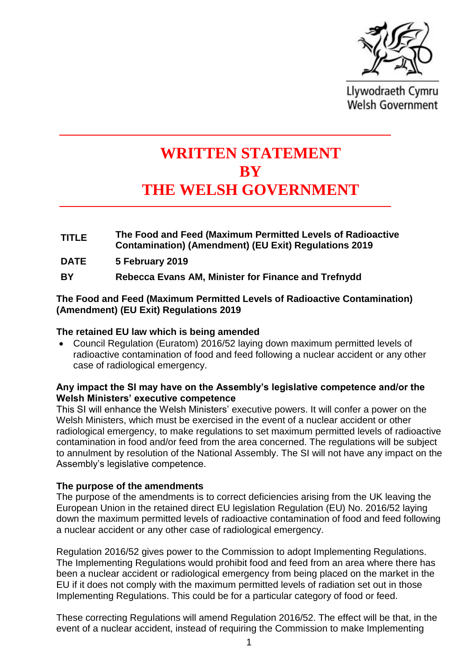

Llywodraeth Cymru **Welsh Government** 

# **WRITTEN STATEMENT BY THE WELSH GOVERNMENT**

- **TITLE The Food and Feed (Maximum Permitted Levels of Radioactive Contamination) (Amendment) (EU Exit) Regulations 2019**
- **DATE 5 February 2019**
- **BY Rebecca Evans AM, Minister for Finance and Trefnydd**

### **The Food and Feed (Maximum Permitted Levels of Radioactive Contamination) (Amendment) (EU Exit) Regulations 2019**

#### **The retained EU law which is being amended**

• Council Regulation (Euratom) 2016/52 laying down maximum permitted levels of radioactive contamination of food and feed following a nuclear accident or any other case of radiological emergency.

### **Any impact the SI may have on the Assembly's legislative competence and/or the Welsh Ministers' executive competence**

This SI will enhance the Welsh Ministers' executive powers. It will confer a power on the Welsh Ministers, which must be exercised in the event of a nuclear accident or other radiological emergency, to make regulations to set maximum permitted levels of radioactive contamination in food and/or feed from the area concerned. The regulations will be subject to annulment by resolution of the National Assembly. The SI will not have any impact on the Assembly's legislative competence.

### **The purpose of the amendments**

The purpose of the amendments is to correct deficiencies arising from the UK leaving the European Union in the retained direct EU legislation Regulation (EU) No. 2016/52 laying down the maximum permitted levels of radioactive contamination of food and feed following a nuclear accident or any other case of radiological emergency.

Regulation 2016/52 gives power to the Commission to adopt Implementing Regulations. The Implementing Regulations would prohibit food and feed from an area where there has been a nuclear accident or radiological emergency from being placed on the market in the EU if it does not comply with the maximum permitted levels of radiation set out in those Implementing Regulations. This could be for a particular category of food or feed.

These correcting Regulations will amend Regulation 2016/52. The effect will be that, in the event of a nuclear accident, instead of requiring the Commission to make Implementing